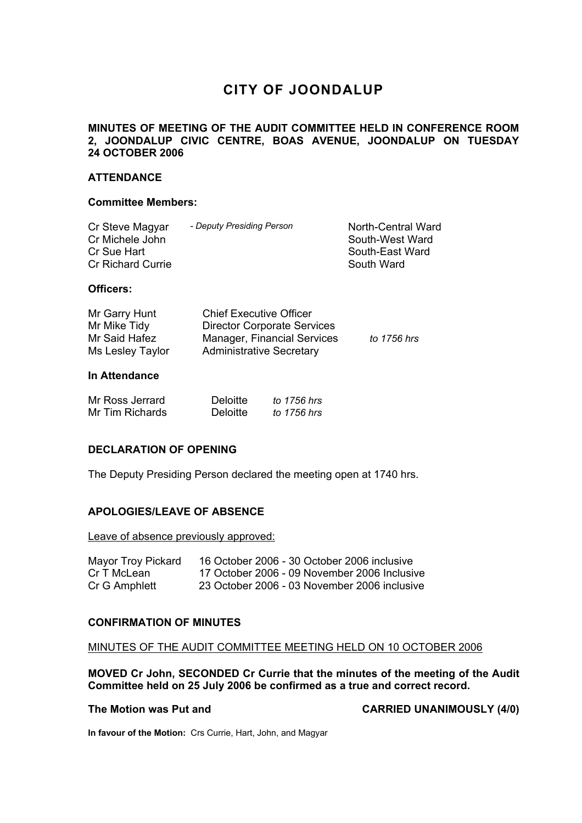# **CITY OF JOONDALUP**

# **MINUTES OF MEETING OF THE AUDIT COMMITTEE HELD IN CONFERENCE ROOM 2, JOONDALUP CIVIC CENTRE, BOAS AVENUE, JOONDALUP ON TUESDAY 24 OCTOBER 2006**

### **ATTENDANCE**

#### **Committee Members:**

| Cr Steve Magyar<br>Cr Michele John<br>Cr Sue Hart | - Deputy Presiding Person | North-Central Ward<br>South-West Ward<br>South-East Ward |
|---------------------------------------------------|---------------------------|----------------------------------------------------------|
| <b>Cr Richard Currie</b>                          |                           | South Ward                                               |

#### **Officers:**

| Mr Garry Hunt    | <b>Chief Executive Officer</b>     |             |
|------------------|------------------------------------|-------------|
| Mr Mike Tidy     | <b>Director Corporate Services</b> |             |
| Mr Said Hafez    | Manager, Financial Services        | to 1756 hrs |
| Ms Lesley Taylor | <b>Administrative Secretary</b>    |             |

#### **In Attendance**

| Mr Ross Jerrard | <b>Deloitte</b> | to 1756 hrs |
|-----------------|-----------------|-------------|
| Mr Tim Richards | <b>Deloitte</b> | to 1756 hrs |

#### **DECLARATION OF OPENING**

The Deputy Presiding Person declared the meeting open at 1740 hrs.

#### **APOLOGIES/LEAVE OF ABSENCE**

Leave of absence previously approved:

| Mayor Troy Pickard | 16 October 2006 - 30 October 2006 inclusive  |
|--------------------|----------------------------------------------|
| Cr T McLean        | 17 October 2006 - 09 November 2006 Inclusive |
| Cr G Amphlett      | 23 October 2006 - 03 November 2006 inclusive |

#### **CONFIRMATION OF MINUTES**

#### MINUTES OF THE AUDIT COMMITTEE MEETING HELD ON 10 OCTOBER 2006

**MOVED Cr John, SECONDED Cr Currie that the minutes of the meeting of the Audit Committee held on 25 July 2006 be confirmed as a true and correct record.** 

The Motion was Put and **CARRIED UNANIMOUSLY** (4/0)

**In favour of the Motion:** Crs Currie, Hart, John, and Magyar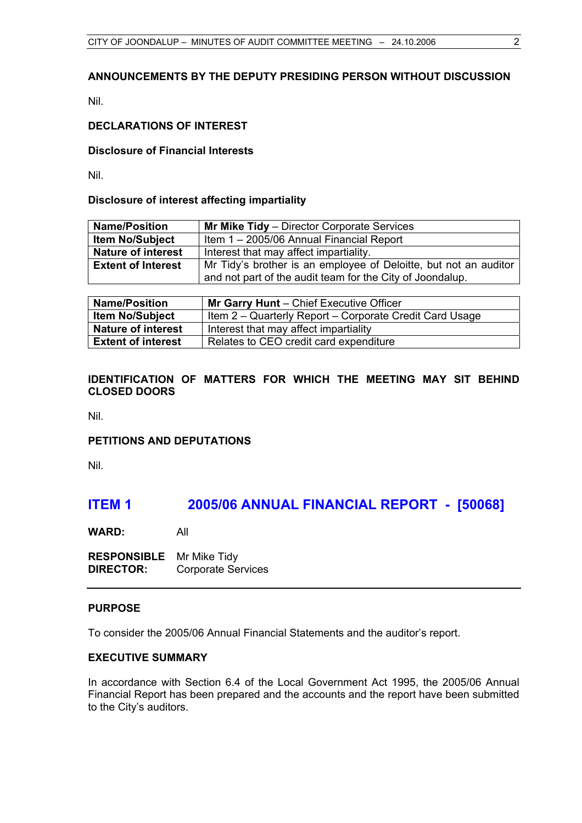# **ANNOUNCEMENTS BY THE DEPUTY PRESIDING PERSON WITHOUT DISCUSSION**

Nil.

# **DECLARATIONS OF INTEREST**

#### **Disclosure of Financial Interests**

Nil.

#### **Disclosure of interest affecting impartiality**

| <b>Name/Position</b>      | <b>Mr Mike Tidy</b> – Director Corporate Services                |
|---------------------------|------------------------------------------------------------------|
| <b>Item No/Subject</b>    | Item 1 - 2005/06 Annual Financial Report                         |
| <b>Nature of interest</b> | Interest that may affect impartiality.                           |
| <b>Extent of Interest</b> | Mr Tidy's brother is an employee of Deloitte, but not an auditor |
|                           | and not part of the audit team for the City of Joondalup.        |
|                           |                                                                  |

| <b>Name/Position</b>      | Mr Garry Hunt - Chief Executive Officer                 |  |
|---------------------------|---------------------------------------------------------|--|
| <b>Item No/Subject</b>    | Item 2 – Quarterly Report – Corporate Credit Card Usage |  |
| <b>Nature of interest</b> | Interest that may affect impartiality                   |  |
| <b>Extent of interest</b> | Relates to CEO credit card expenditure                  |  |

# **IDENTIFICATION OF MATTERS FOR WHICH THE MEETING MAY SIT BEHIND CLOSED DOORS**

Nil.

#### **PETITIONS AND DEPUTATIONS**

Nil.

# **ITEM 1 2005/06 ANNUAL FINANCIAL REPORT - [50068]**

**WARD:** All

**RESPONSIBLE** Mr Mike Tidy **DIRECTOR:** Corporate Services

### **PURPOSE**

To consider the 2005/06 Annual Financial Statements and the auditor's report.

# **EXECUTIVE SUMMARY**

In accordance with Section 6.4 of the Local Government Act 1995, the 2005/06 Annual Financial Report has been prepared and the accounts and the report have been submitted to the City's auditors.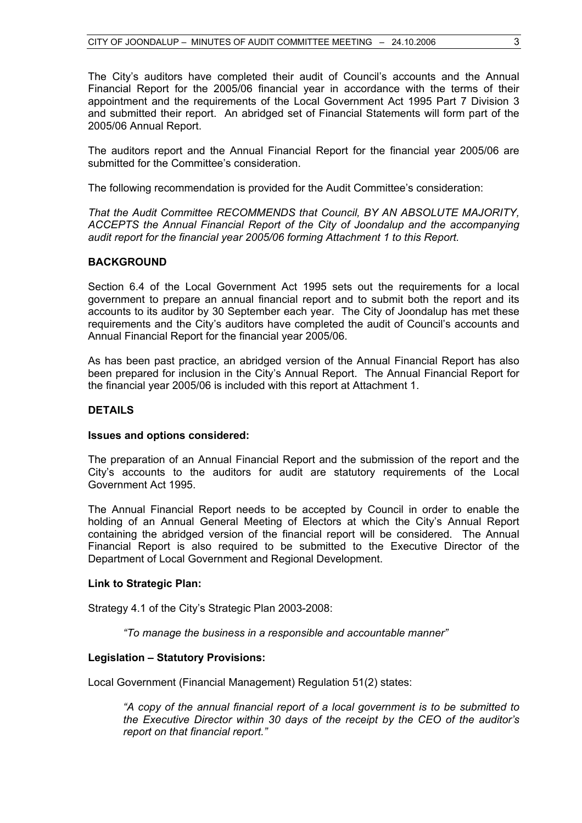The City's auditors have completed their audit of Council's accounts and the Annual Financial Report for the 2005/06 financial year in accordance with the terms of their appointment and the requirements of the Local Government Act 1995 Part 7 Division 3 and submitted their report. An abridged set of Financial Statements will form part of the 2005/06 Annual Report.

The auditors report and the Annual Financial Report for the financial year 2005/06 are submitted for the Committee's consideration.

The following recommendation is provided for the Audit Committee's consideration:

*That the Audit Committee RECOMMENDS that Council, BY AN ABSOLUTE MAJORITY, ACCEPTS the Annual Financial Report of the City of Joondalup and the accompanying audit report for the financial year 2005/06 forming Attachment 1 to this Report.* 

# **BACKGROUND**

Section 6.4 of the Local Government Act 1995 sets out the requirements for a local government to prepare an annual financial report and to submit both the report and its accounts to its auditor by 30 September each year. The City of Joondalup has met these requirements and the City's auditors have completed the audit of Council's accounts and Annual Financial Report for the financial year 2005/06.

As has been past practice, an abridged version of the Annual Financial Report has also been prepared for inclusion in the City's Annual Report. The Annual Financial Report for the financial year 2005/06 is included with this report at Attachment 1.

# **DETAILS**

# **Issues and options considered:**

The preparation of an Annual Financial Report and the submission of the report and the City's accounts to the auditors for audit are statutory requirements of the Local Government Act 1995.

The Annual Financial Report needs to be accepted by Council in order to enable the holding of an Annual General Meeting of Electors at which the City's Annual Report containing the abridged version of the financial report will be considered. The Annual Financial Report is also required to be submitted to the Executive Director of the Department of Local Government and Regional Development.

#### **Link to Strategic Plan:**

Strategy 4.1 of the City's Strategic Plan 2003-2008:

*"To manage the business in a responsible and accountable manner"* 

# **Legislation – Statutory Provisions:**

Local Government (Financial Management) Regulation 51(2) states:

*"A copy of the annual financial report of a local government is to be submitted to the Executive Director within 30 days of the receipt by the CEO of the auditor's report on that financial report."*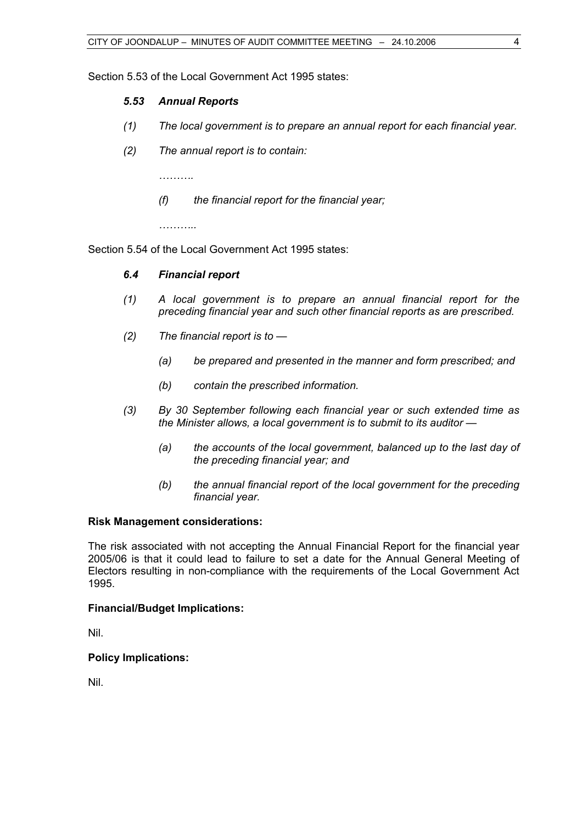Section 5.53 of the Local Government Act 1995 states:

# *5.53 Annual Reports*

- *(1) The local government is to prepare an annual report for each financial year.*
- *(2) The annual report is to contain:*

 *……….* 

 *(f) the financial report for the financial year;* 

 *………..* 

Section 5.54 of the Local Government Act 1995 states:

# *6.4 Financial report*

- *(1) A local government is to prepare an annual financial report for the preceding financial year and such other financial reports as are prescribed.*
- *(2) The financial report is to* 
	- *(a) be prepared and presented in the manner and form prescribed; and*
	- *(b) contain the prescribed information.*
- *(3) By 30 September following each financial year or such extended time as the Minister allows, a local government is to submit to its auditor —* 
	- *(a) the accounts of the local government, balanced up to the last day of the preceding financial year; and*
	- *(b) the annual financial report of the local government for the preceding financial year.*

#### **Risk Management considerations:**

The risk associated with not accepting the Annual Financial Report for the financial year 2005/06 is that it could lead to failure to set a date for the Annual General Meeting of Electors resulting in non-compliance with the requirements of the Local Government Act 1995.

#### **Financial/Budget Implications:**

Nil.

# **Policy Implications:**

Nil.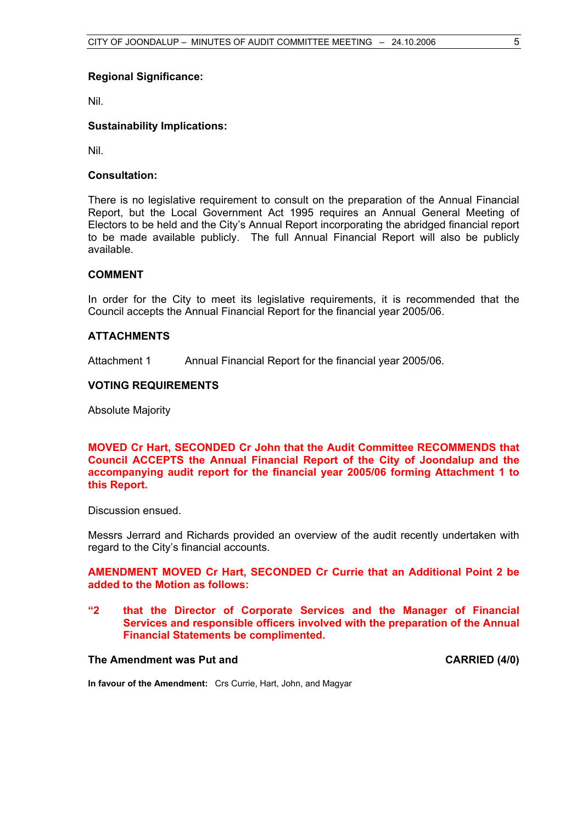#### **Regional Significance:**

Nil.

### **Sustainability Implications:**

Nil.

#### **Consultation:**

There is no legislative requirement to consult on the preparation of the Annual Financial Report, but the Local Government Act 1995 requires an Annual General Meeting of Electors to be held and the City's Annual Report incorporating the abridged financial report to be made available publicly. The full Annual Financial Report will also be publicly available.

### **COMMENT**

In order for the City to meet its legislative requirements, it is recommended that the Council accepts the Annual Financial Report for the financial year 2005/06.

#### **ATTACHMENTS**

Attachment 1 Annual Financial Report for the financial year 2005/06.

### **VOTING REQUIREMENTS**

Absolute Majority

**MOVED Cr Hart, SECONDED Cr John that the Audit Committee RECOMMENDS that Council ACCEPTS the Annual Financial Report of the City of Joondalup and the accompanying audit report for the financial year 2005/06 forming Attachment 1 to this Report.** 

Discussion ensued.

Messrs Jerrard and Richards provided an overview of the audit recently undertaken with regard to the City's financial accounts.

## **AMENDMENT MOVED Cr Hart, SECONDED Cr Currie that an Additional Point 2 be added to the Motion as follows:**

**"2 that the Director of Corporate Services and the Manager of Financial Services and responsible officers involved with the preparation of the Annual Financial Statements be complimented.** 

# The Amendment was Put and **CARRIED** (4/0)

**In favour of the Amendment:** Crs Currie, Hart, John, and Magyar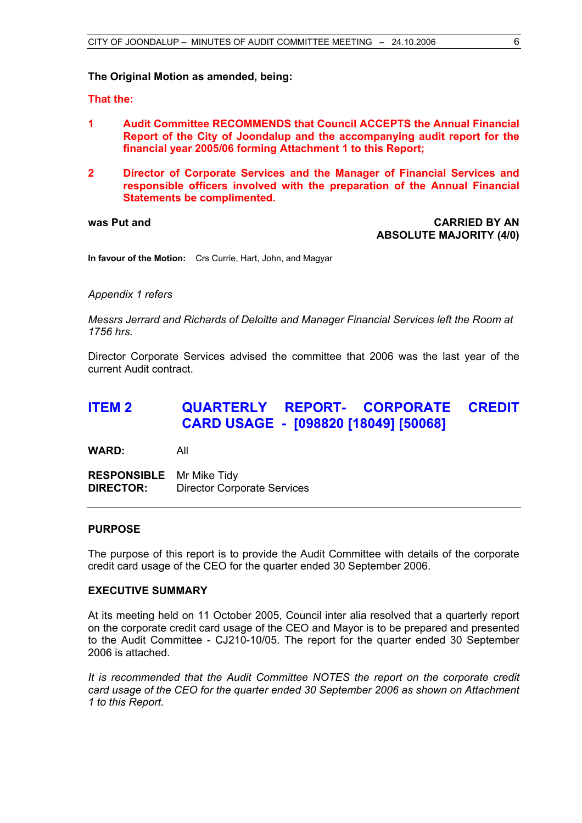#### **The Original Motion as amended, being:**

**That the:** 

- **1 Audit Committee RECOMMENDS that Council ACCEPTS the Annual Financial Report of the City of Joondalup and the accompanying audit report for the financial year 2005/06 forming Attachment 1 to this Report;**
- **2 Director of Corporate Services and the Manager of Financial Services and responsible officers involved with the preparation of the Annual Financial Statements be complimented.**

**was Put and CARRIED BY AN ABSOLUTE MAJORITY (4/0)** 

**In favour of the Motion:** Crs Currie, Hart, John, and Magyar

*Appendix 1 refers* 

*Messrs Jerrard and Richards of Deloitte and Manager Financial Services left the Room at 1756 hrs.* 

Director Corporate Services advised the committee that 2006 was the last year of the current Audit contract.

# **ITEM 2 QUARTERLY REPORT- CORPORATE CREDIT CARD USAGE - [098820 [18049] [50068]**

**WARD:** All

**RESPONSIBLE** Mr Mike Tidy **DIRECTOR:** Director Corporate Services

### **PURPOSE**

The purpose of this report is to provide the Audit Committee with details of the corporate credit card usage of the CEO for the quarter ended 30 September 2006.

#### **EXECUTIVE SUMMARY**

At its meeting held on 11 October 2005, Council inter alia resolved that a quarterly report on the corporate credit card usage of the CEO and Mayor is to be prepared and presented to the Audit Committee - CJ210-10/05. The report for the quarter ended 30 September 2006 is attached.

*It is recommended that the Audit Committee NOTES the report on the corporate credit card usage of the CEO for the quarter ended 30 September 2006 as shown on Attachment 1 to this Report.*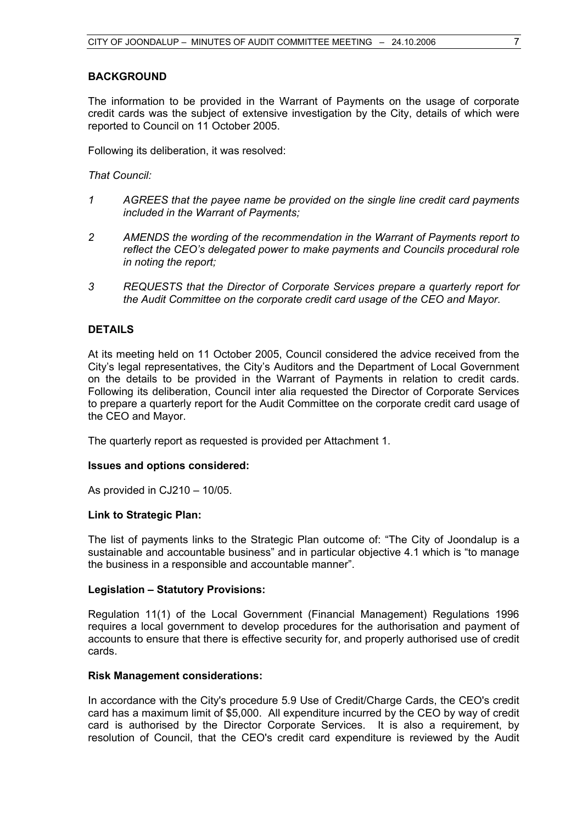# **BACKGROUND**

The information to be provided in the Warrant of Payments on the usage of corporate credit cards was the subject of extensive investigation by the City, details of which were reported to Council on 11 October 2005.

Following its deliberation, it was resolved:

#### *That Council:*

- *1 AGREES that the payee name be provided on the single line credit card payments included in the Warrant of Payments;*
- *2 AMENDS the wording of the recommendation in the Warrant of Payments report to reflect the CEO's delegated power to make payments and Councils procedural role in noting the report;*
- *3 REQUESTS that the Director of Corporate Services prepare a quarterly report for the Audit Committee on the corporate credit card usage of the CEO and Mayor.*

### **DETAILS**

At its meeting held on 11 October 2005, Council considered the advice received from the City's legal representatives, the City's Auditors and the Department of Local Government on the details to be provided in the Warrant of Payments in relation to credit cards. Following its deliberation, Council inter alia requested the Director of Corporate Services to prepare a quarterly report for the Audit Committee on the corporate credit card usage of the CEO and Mayor.

The quarterly report as requested is provided per Attachment 1.

#### **Issues and options considered:**

As provided in CJ210 – 10/05.

#### **Link to Strategic Plan:**

The list of payments links to the Strategic Plan outcome of: "The City of Joondalup is a sustainable and accountable business" and in particular objective 4.1 which is "to manage the business in a responsible and accountable manner".

#### **Legislation – Statutory Provisions:**

Regulation 11(1) of the Local Government (Financial Management) Regulations 1996 requires a local government to develop procedures for the authorisation and payment of accounts to ensure that there is effective security for, and properly authorised use of credit cards.

#### **Risk Management considerations:**

In accordance with the City's procedure 5.9 Use of Credit/Charge Cards, the CEO's credit card has a maximum limit of \$5,000. All expenditure incurred by the CEO by way of credit card is authorised by the Director Corporate Services. It is also a requirement, by resolution of Council, that the CEO's credit card expenditure is reviewed by the Audit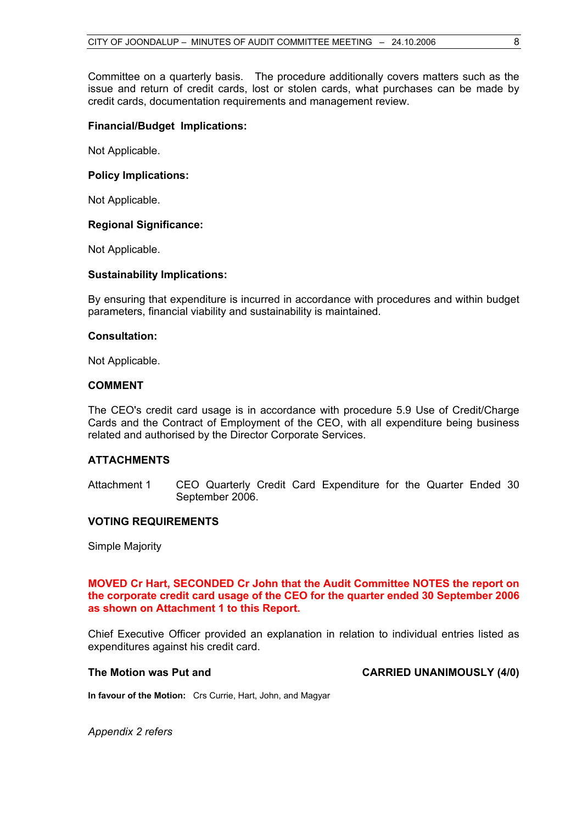Committee on a quarterly basis. The procedure additionally covers matters such as the issue and return of credit cards, lost or stolen cards, what purchases can be made by credit cards, documentation requirements and management review.

#### **Financial/Budget Implications:**

Not Applicable.

#### **Policy Implications:**

Not Applicable.

#### **Regional Significance:**

Not Applicable.

#### **Sustainability Implications:**

By ensuring that expenditure is incurred in accordance with procedures and within budget parameters, financial viability and sustainability is maintained.

#### **Consultation:**

Not Applicable.

#### **COMMENT**

The CEO's credit card usage is in accordance with procedure 5.9 Use of Credit/Charge Cards and the Contract of Employment of the CEO, with all expenditure being business related and authorised by the Director Corporate Services.

# **ATTACHMENTS**

Attachment 1 CEO Quarterly Credit Card Expenditure for the Quarter Ended 30 September 2006.

#### **VOTING REQUIREMENTS**

Simple Majority

#### **MOVED Cr Hart, SECONDED Cr John that the Audit Committee NOTES the report on the corporate credit card usage of the CEO for the quarter ended 30 September 2006 as shown on Attachment 1 to this Report.**

Chief Executive Officer provided an explanation in relation to individual entries listed as expenditures against his credit card.

#### The Motion was Put and **CARRIED UNANIMOUSLY** (4/0)

**In favour of the Motion:** Crs Currie, Hart, John, and Magyar

*Appendix 2 refers*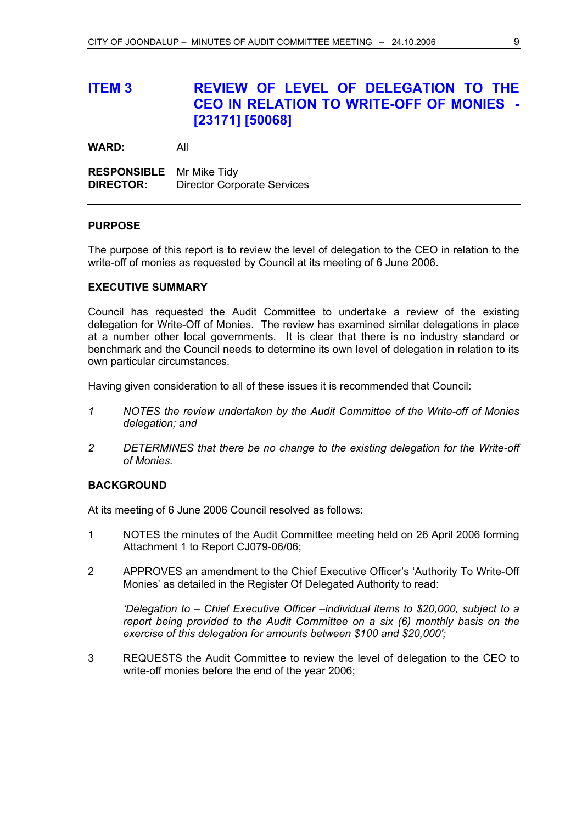# **ITEM 3 REVIEW OF LEVEL OF DELEGATION TO THE CEO IN RELATION TO WRITE-OFF OF MONIES - [23171] [50068]**

**WARD:** All

**RESPONSIBLE** Mr Mike Tidy **DIRECTOR:** Director Corporate Services

#### **PURPOSE**

The purpose of this report is to review the level of delegation to the CEO in relation to the write-off of monies as requested by Council at its meeting of 6 June 2006.

# **EXECUTIVE SUMMARY**

Council has requested the Audit Committee to undertake a review of the existing delegation for Write-Off of Monies. The review has examined similar delegations in place at a number other local governments. It is clear that there is no industry standard or benchmark and the Council needs to determine its own level of delegation in relation to its own particular circumstances.

Having given consideration to all of these issues it is recommended that Council:

- *1 NOTES the review undertaken by the Audit Committee of the Write-off of Monies delegation; and*
- *2 DETERMINES that there be no change to the existing delegation for the Write-off of Monies.*

#### **BACKGROUND**

At its meeting of 6 June 2006 Council resolved as follows:

- 1 NOTES the minutes of the Audit Committee meeting held on 26 April 2006 forming Attachment 1 to Report CJ079-06/06;
- 2 APPROVES an amendment to the Chief Executive Officer's 'Authority To Write-Off Monies' as detailed in the Register Of Delegated Authority to read:

*'Delegation to – Chief Executive Officer –individual items to \$20,000, subject to a report being provided to the Audit Committee on a six (6) monthly basis on the exercise of this delegation for amounts between \$100 and \$20,000';* 

3 REQUESTS the Audit Committee to review the level of delegation to the CEO to write-off monies before the end of the year 2006;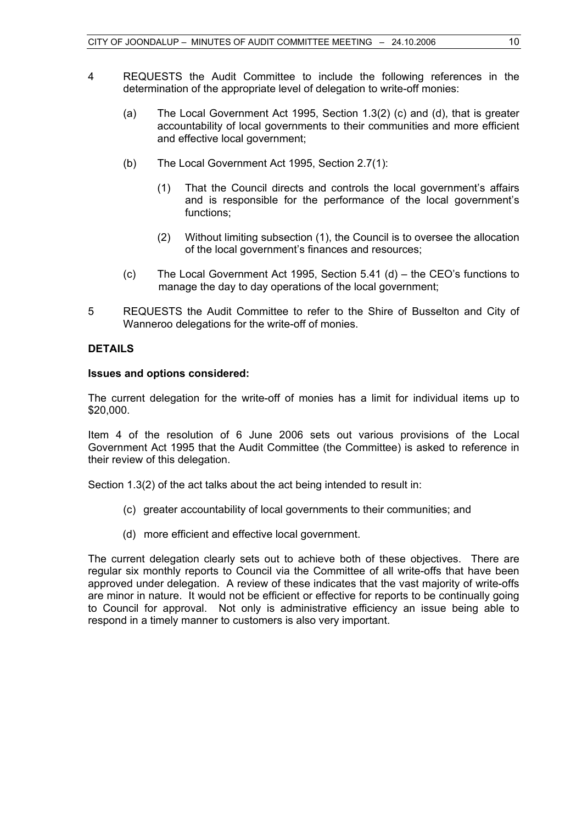- 4 REQUESTS the Audit Committee to include the following references in the determination of the appropriate level of delegation to write-off monies:
	- (a) The Local Government Act 1995, Section 1.3(2) (c) and (d), that is greater accountability of local governments to their communities and more efficient and effective local government;
	- (b) The Local Government Act 1995, Section 2.7(1):
		- (1) That the Council directs and controls the local government's affairs and is responsible for the performance of the local government's functions;
		- (2) Without limiting subsection (1), the Council is to oversee the allocation of the local government's finances and resources;
	- (c) The Local Government Act 1995, Section 5.41 (d) the CEO's functions to manage the day to day operations of the local government;
- 5 REQUESTS the Audit Committee to refer to the Shire of Busselton and City of Wanneroo delegations for the write-off of monies.

# **DETAILS**

#### **Issues and options considered:**

The current delegation for the write-off of monies has a limit for individual items up to \$20,000.

Item 4 of the resolution of 6 June 2006 sets out various provisions of the Local Government Act 1995 that the Audit Committee (the Committee) is asked to reference in their review of this delegation.

Section 1.3(2) of the act talks about the act being intended to result in:

- (c) greater accountability of local governments to their communities; and
- (d) more efficient and effective local government.

The current delegation clearly sets out to achieve both of these objectives. There are regular six monthly reports to Council via the Committee of all write-offs that have been approved under delegation. A review of these indicates that the vast majority of write-offs are minor in nature. It would not be efficient or effective for reports to be continually going to Council for approval. Not only is administrative efficiency an issue being able to respond in a timely manner to customers is also very important.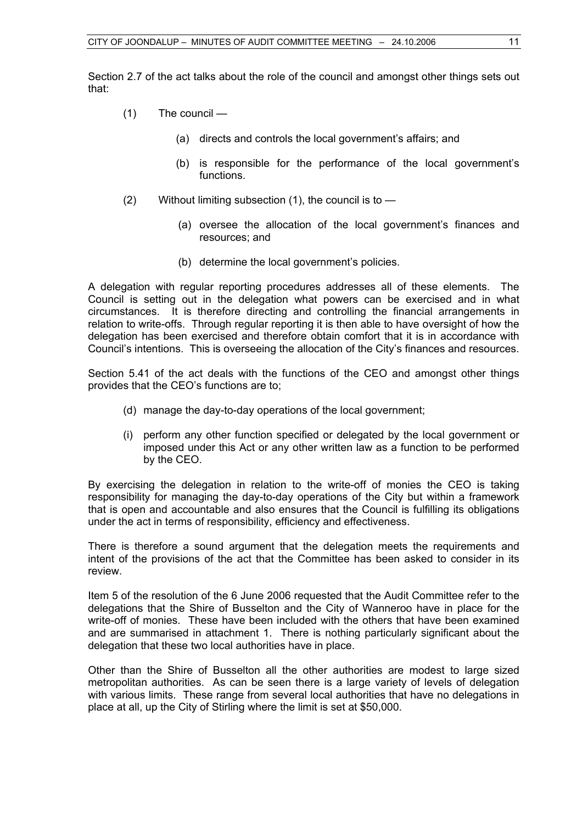Section 2.7 of the act talks about the role of the council and amongst other things sets out that:

- (1) The council
	- (a) directs and controls the local government's affairs; and
	- (b) is responsible for the performance of the local government's functions.
- $(2)$  Without limiting subsection  $(1)$ , the council is to  $-$ 
	- (a) oversee the allocation of the local government's finances and resources; and
	- (b) determine the local government's policies.

A delegation with regular reporting procedures addresses all of these elements. The Council is setting out in the delegation what powers can be exercised and in what circumstances. It is therefore directing and controlling the financial arrangements in relation to write-offs. Through regular reporting it is then able to have oversight of how the delegation has been exercised and therefore obtain comfort that it is in accordance with Council's intentions. This is overseeing the allocation of the City's finances and resources.

Section 5.41 of the act deals with the functions of the CEO and amongst other things provides that the CEO's functions are to;

- (d) manage the day-to-day operations of the local government;
- (i) perform any other function specified or delegated by the local government or imposed under this Act or any other written law as a function to be performed by the CEO.

By exercising the delegation in relation to the write-off of monies the CEO is taking responsibility for managing the day-to-day operations of the City but within a framework that is open and accountable and also ensures that the Council is fulfilling its obligations under the act in terms of responsibility, efficiency and effectiveness.

There is therefore a sound argument that the delegation meets the requirements and intent of the provisions of the act that the Committee has been asked to consider in its review.

Item 5 of the resolution of the 6 June 2006 requested that the Audit Committee refer to the delegations that the Shire of Busselton and the City of Wanneroo have in place for the write-off of monies. These have been included with the others that have been examined and are summarised in attachment 1. There is nothing particularly significant about the delegation that these two local authorities have in place.

Other than the Shire of Busselton all the other authorities are modest to large sized metropolitan authorities. As can be seen there is a large variety of levels of delegation with various limits. These range from several local authorities that have no delegations in place at all, up the City of Stirling where the limit is set at \$50,000.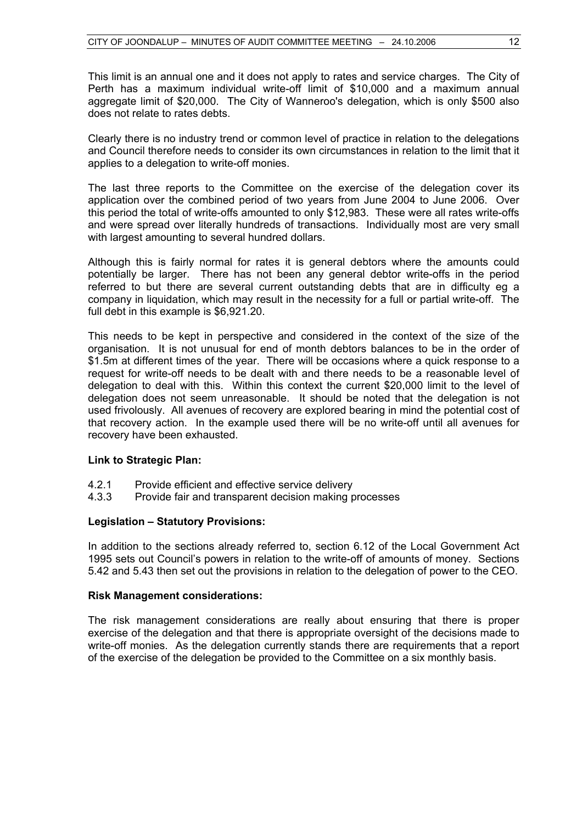This limit is an annual one and it does not apply to rates and service charges. The City of Perth has a maximum individual write-off limit of \$10,000 and a maximum annual aggregate limit of \$20,000. The City of Wanneroo's delegation, which is only \$500 also does not relate to rates debts.

Clearly there is no industry trend or common level of practice in relation to the delegations and Council therefore needs to consider its own circumstances in relation to the limit that it applies to a delegation to write-off monies.

The last three reports to the Committee on the exercise of the delegation cover its application over the combined period of two years from June 2004 to June 2006. Over this period the total of write-offs amounted to only \$12,983. These were all rates write-offs and were spread over literally hundreds of transactions. Individually most are very small with largest amounting to several hundred dollars.

Although this is fairly normal for rates it is general debtors where the amounts could potentially be larger. There has not been any general debtor write-offs in the period referred to but there are several current outstanding debts that are in difficulty eg a company in liquidation, which may result in the necessity for a full or partial write-off. The full debt in this example is \$6,921.20.

This needs to be kept in perspective and considered in the context of the size of the organisation. It is not unusual for end of month debtors balances to be in the order of \$1.5m at different times of the year. There will be occasions where a quick response to a request for write-off needs to be dealt with and there needs to be a reasonable level of delegation to deal with this. Within this context the current \$20,000 limit to the level of delegation does not seem unreasonable. It should be noted that the delegation is not used frivolously. All avenues of recovery are explored bearing in mind the potential cost of that recovery action. In the example used there will be no write-off until all avenues for recovery have been exhausted.

#### **Link to Strategic Plan:**

- 4.2.1 Provide efficient and effective service delivery
- 4.3.3 Provide fair and transparent decision making processes

# **Legislation – Statutory Provisions:**

In addition to the sections already referred to, section 6.12 of the Local Government Act 1995 sets out Council's powers in relation to the write-off of amounts of money. Sections 5.42 and 5.43 then set out the provisions in relation to the delegation of power to the CEO.

#### **Risk Management considerations:**

The risk management considerations are really about ensuring that there is proper exercise of the delegation and that there is appropriate oversight of the decisions made to write-off monies. As the delegation currently stands there are requirements that a report of the exercise of the delegation be provided to the Committee on a six monthly basis.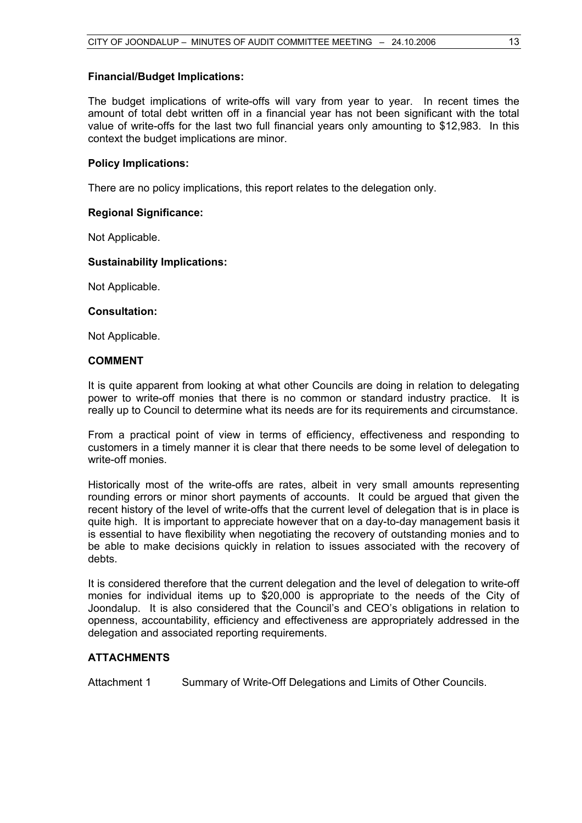### **Financial/Budget Implications:**

The budget implications of write-offs will vary from year to year. In recent times the amount of total debt written off in a financial year has not been significant with the total value of write-offs for the last two full financial years only amounting to \$12,983. In this context the budget implications are minor.

### **Policy Implications:**

There are no policy implications, this report relates to the delegation only.

### **Regional Significance:**

Not Applicable.

### **Sustainability Implications:**

Not Applicable.

#### **Consultation:**

Not Applicable.

# **COMMENT**

It is quite apparent from looking at what other Councils are doing in relation to delegating power to write-off monies that there is no common or standard industry practice. It is really up to Council to determine what its needs are for its requirements and circumstance.

From a practical point of view in terms of efficiency, effectiveness and responding to customers in a timely manner it is clear that there needs to be some level of delegation to write-off monies.

Historically most of the write-offs are rates, albeit in very small amounts representing rounding errors or minor short payments of accounts. It could be argued that given the recent history of the level of write-offs that the current level of delegation that is in place is quite high. It is important to appreciate however that on a day-to-day management basis it is essential to have flexibility when negotiating the recovery of outstanding monies and to be able to make decisions quickly in relation to issues associated with the recovery of debts.

It is considered therefore that the current delegation and the level of delegation to write-off monies for individual items up to \$20,000 is appropriate to the needs of the City of Joondalup. It is also considered that the Council's and CEO's obligations in relation to openness, accountability, efficiency and effectiveness are appropriately addressed in the delegation and associated reporting requirements.

# **ATTACHMENTS**

Attachment 1 Summary of Write-Off Delegations and Limits of Other Councils.